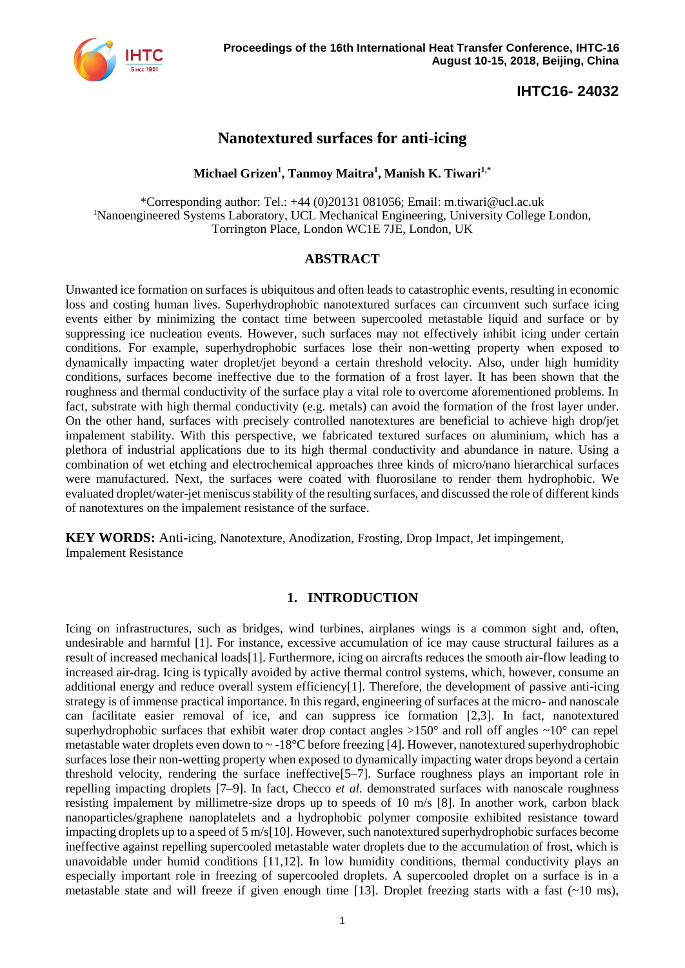

# **Nanotextured surfaces for anti-icing**

#### **Michael Grizen<sup>1</sup> , Tanmoy Maitra<sup>1</sup> , Manish K. Tiwari1,\***

[\\*Corresponding](mailto:hetsroni@tx.technion.ac.il) author: Tel.: +44 (0)20131 081056; Email: m.tiwari@ucl.ac.uk <sup>1</sup>Nanoengineered Systems Laboratory, UCL Mechanical Engineering, University College London, Torrington Place, London WC1E 7JE, London, UK

#### **ABSTRACT**

Unwanted ice formation on surfaces is ubiquitous and often leads to catastrophic events, resulting in economic loss and costing human lives. Superhydrophobic nanotextured surfaces can circumvent such surface icing events either by minimizing the contact time between supercooled metastable liquid and surface or by suppressing ice nucleation events. However, such surfaces may not effectively inhibit icing under certain conditions. For example, superhydrophobic surfaces lose their non-wetting property when exposed to dynamically impacting water droplet/jet beyond a certain threshold velocity. Also, under high humidity conditions, surfaces become ineffective due to the formation of a frost layer. It has been shown that the roughness and thermal conductivity of the surface play a vital role to overcome aforementioned problems. In fact, substrate with high thermal conductivity (e.g. metals) can avoid the formation of the frost layer under. On the other hand, surfaces with precisely controlled nanotextures are beneficial to achieve high drop/jet impalement stability. With this perspective, we fabricated textured surfaces on aluminium, which has a plethora of industrial applications due to its high thermal conductivity and abundance in nature. Using a combination of wet etching and electrochemical approaches three kinds of micro/nano hierarchical surfaces were manufactured. Next, the surfaces were coated with fluorosilane to render them hydrophobic. We evaluated droplet/water-jet meniscus stability of the resulting surfaces, and discussed the role of different kinds of nanotextures on the impalement resistance of the surface.

**KEY WORDS:** Anti-icing, Nanotexture, Anodization, Frosting, Drop Impact, Jet impingement, Impalement Resistance

#### **1. INTRODUCTION**

Icing on infrastructures, such as bridges, wind turbines, airplanes wings is a common sight and, often, undesirable and harmful [1]. For instance, excessive accumulation of ice may cause structural failures as a result of increased mechanical loads[1]. Furthermore, icing on aircrafts reduces the smooth air-flow leading to increased air-drag. Icing is typically avoided by active thermal control systems, which, however, consume an additional energy and reduce overall system efficiency[1]. Therefore, the development of passive anti-icing strategy is of immense practical importance. In this regard, engineering of surfaces at the micro- and nanoscale can facilitate easier removal of ice, and can suppress ice formation [2,3]. In fact, nanotextured superhydrophobic surfaces that exhibit water drop contact angles  $>150^{\circ}$  and roll off angles  $\sim10^{\circ}$  can repel metastable water droplets even down to  $\sim$  -18 $\degree$ C before freezing [4]. However, nanotextured superhydrophobic surfaces lose their non-wetting property when exposed to dynamically impacting water drops beyond a certain threshold velocity, rendering the surface ineffective[5–7]. Surface roughness plays an important role in repelling impacting droplets [7–9]. In fact, Checco *et al.* demonstrated surfaces with nanoscale roughness resisting impalement by millimetre-size drops up to speeds of 10 m/s [8]. In another work, carbon black nanoparticles/graphene nanoplatelets and a hydrophobic polymer composite exhibited resistance toward impacting droplets up to a speed of 5 m/s[10]. However, such nanotextured superhydrophobic surfaces become ineffective against repelling supercooled metastable water droplets due to the accumulation of frost, which is unavoidable under humid conditions [11,12]. In low humidity conditions, thermal conductivity plays an especially important role in freezing of supercooled droplets. A supercooled droplet on a surface is in a metastable state and will freeze if given enough time [13]. Droplet freezing starts with a fast  $(-10 \text{ ms})$ ,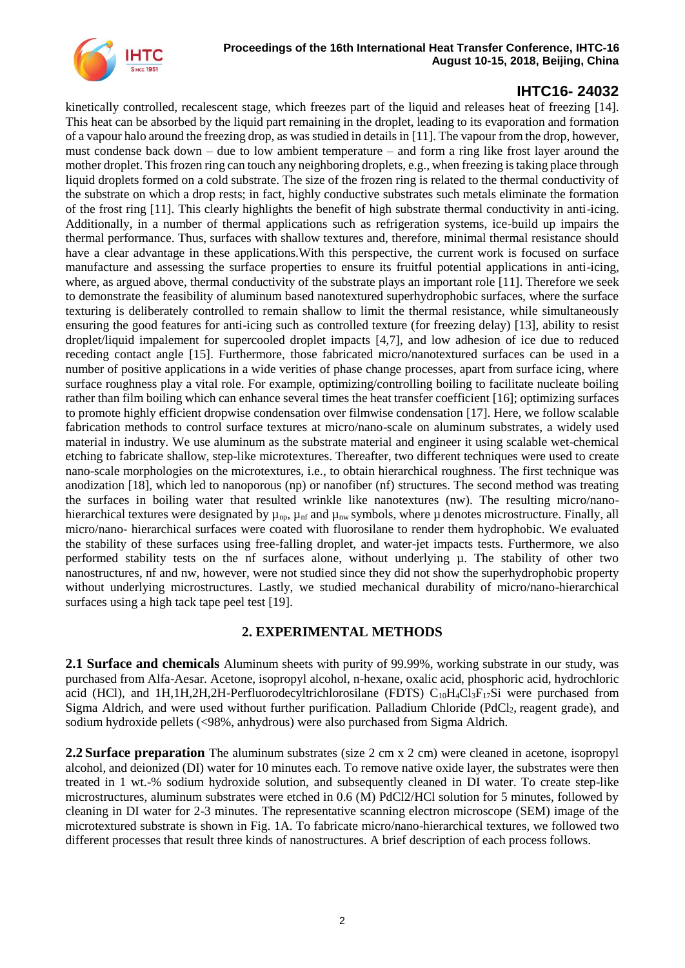kinetically controlled, recalescent stage, which freezes part of the liquid and releases heat of freezing [14]. This heat can be absorbed by the liquid part remaining in the droplet, leading to its evaporation and formation of a vapour halo around the freezing drop, as was studied in details in [11]. The vapour from the drop, however, must condense back down – due to low ambient temperature – and form a ring like frost layer around the mother droplet. This frozen ring can touch any neighboring droplets, e.g., when freezing is taking place through liquid droplets formed on a cold substrate. The size of the frozen ring is related to the thermal conductivity of the substrate on which a drop rests; in fact, highly conductive substrates such metals eliminate the formation of the frost ring [11]. This clearly highlights the benefit of high substrate thermal conductivity in anti-icing. Additionally, in a number of thermal applications such as refrigeration systems, ice-build up impairs the thermal performance. Thus, surfaces with shallow textures and, therefore, minimal thermal resistance should have a clear advantage in these applications.With this perspective, the current work is focused on surface manufacture and assessing the surface properties to ensure its fruitful potential applications in anti-icing, where, as argued above, thermal conductivity of the substrate plays an important role [11]. Therefore we seek to demonstrate the feasibility of aluminum based nanotextured superhydrophobic surfaces, where the surface texturing is deliberately controlled to remain shallow to limit the thermal resistance, while simultaneously ensuring the good features for anti-icing such as controlled texture (for freezing delay) [13], ability to resist droplet/liquid impalement for supercooled droplet impacts [4,7], and low adhesion of ice due to reduced receding contact angle [15]. Furthermore, those fabricated micro/nanotextured surfaces can be used in a number of positive applications in a wide verities of phase change processes, apart from surface icing, where surface roughness play a vital role. For example, optimizing/controlling boiling to facilitate nucleate boiling rather than film boiling which can enhance several times the heat transfer coefficient [16]; optimizing surfaces to promote highly efficient dropwise condensation over filmwise condensation [17]. Here, we follow scalable fabrication methods to control surface textures at micro/nano-scale on aluminum substrates, a widely used material in industry. We use aluminum as the substrate material and engineer it using scalable wet-chemical etching to fabricate shallow, step-like microtextures. Thereafter, two different techniques were used to create nano-scale morphologies on the microtextures, i.e., to obtain hierarchical roughness. The first technique was anodization [18], which led to nanoporous (np) or nanofiber (nf) structures. The second method was treating the surfaces in boiling water that resulted wrinkle like nanotextures (nw). The resulting micro/nanohierarchical textures were designated by  $\mu_{np}$ ,  $\mu_{nf}$  and  $\mu_{nw}$  symbols, where  $\mu$  denotes microstructure. Finally, all micro/nano- hierarchical surfaces were coated with fluorosilane to render them hydrophobic. We evaluated the stability of these surfaces using free-falling droplet, and water-jet impacts tests. Furthermore, we also performed stability tests on the nf surfaces alone, without underlying µ. The stability of other two nanostructures, nf and nw, however, were not studied since they did not show the superhydrophobic property without underlying microstructures. Lastly, we studied mechanical durability of micro/nano-hierarchical surfaces using a high tack tape peel test [19].

### **2. EXPERIMENTAL METHODS**

**2.1 Surface and chemicals** Aluminum sheets with purity of 99.99%, working substrate in our study, was purchased from Alfa-Aesar. Acetone, isopropyl alcohol, n-hexane, oxalic acid, phosphoric acid, hydrochloric acid (HCl), and 1H,1H,2H,2H-Perfluorodecyltrichlorosilane (FDTS)  $C_{10}H_4Cl_3F_{17}Si$  were purchased from Sigma Aldrich, and were used without further purification. Palladium Chloride (PdCl<sub>2</sub>, reagent grade), and sodium hydroxide pellets (<98%, anhydrous) were also purchased from Sigma Aldrich.

**2.2 Surface preparation** The aluminum substrates (size 2 cm x 2 cm) were cleaned in acetone, isopropyl alcohol, and deionized (DI) water for 10 minutes each. To remove native oxide layer, the substrates were then treated in 1 wt.-% sodium hydroxide solution, and subsequently cleaned in DI water. To create step-like microstructures, aluminum substrates were etched in 0.6 (M) PdCl2/HCl solution for 5 minutes, followed by cleaning in DI water for 2-3 minutes. The representative scanning electron microscope (SEM) image of the microtextured substrate is shown in [Fig.](#page-2-0) 1A. To fabricate micro/nano-hierarchical textures, we followed two different processes that result three kinds of nanostructures. A brief description of each process follows.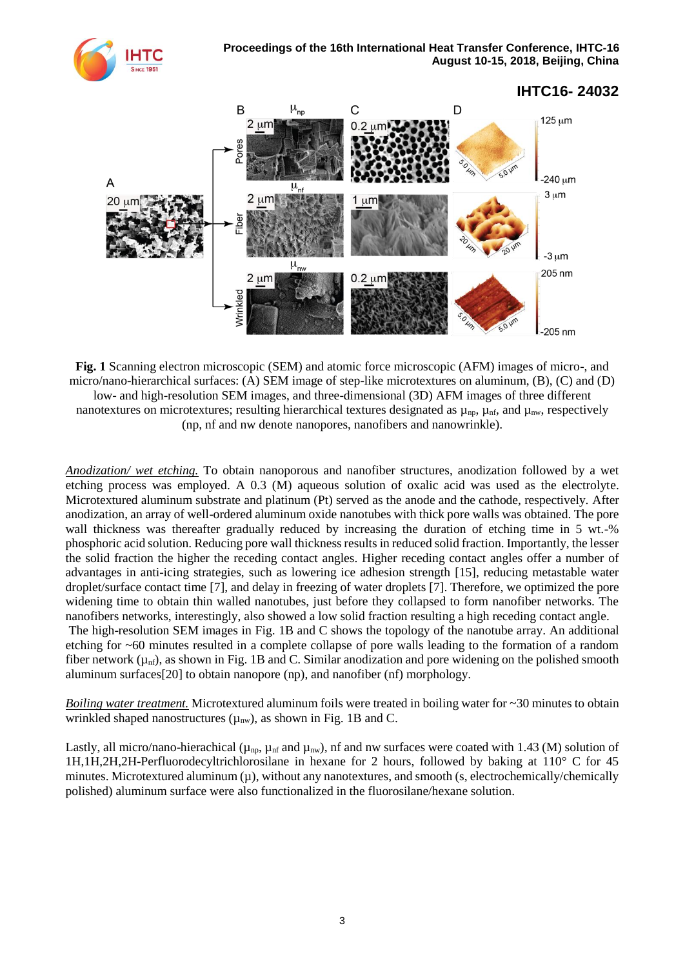

<span id="page-2-0"></span>**Fig. 1** Scanning electron microscopic (SEM) and atomic force microscopic (AFM) images of micro-, and micro/nano-hierarchical surfaces: (A) SEM image of step-like microtextures on aluminum, (B), (C) and (D) low- and high-resolution SEM images, and three-dimensional (3D) AFM images of three different nanotextures on microtextures; resulting hierarchical textures designated as  $\mu_{np}$ ,  $\mu_{nf}$ , and  $\mu_{nw}$ , respectively (np, nf and nw denote nanopores, nanofibers and nanowrinkle).

*Anodization/ wet etching.* To obtain nanoporous and nanofiber structures, anodization followed by a wet etching process was employed. A 0.3 (M) aqueous solution of oxalic acid was used as the electrolyte. Microtextured aluminum substrate and platinum (Pt) served as the anode and the cathode, respectively. After anodization, an array of well-ordered aluminum oxide nanotubes with thick pore walls was obtained. The pore wall thickness was thereafter gradually reduced by increasing the duration of etching time in 5 wt.-% phosphoric acid solution. Reducing pore wall thickness results in reduced solid fraction. Importantly, the lesser the solid fraction the higher the receding contact angles. Higher receding contact angles offer a number of advantages in anti-icing strategies, such as lowering ice adhesion strength [15], reducing metastable water droplet/surface contact time [7], and delay in freezing of water droplets [7]. Therefore, we optimized the pore widening time to obtain thin walled nanotubes, just before they collapsed to form nanofiber networks. The nanofibers networks, interestingly, also showed a low solid fraction resulting a high receding contact angle.

The high-resolution SEM images in [Fig.](#page-2-0) 1B and C shows the topology of the nanotube array. An additional etching for ~60 minutes resulted in a complete collapse of pore walls leading to the formation of a random fiber network  $(\mu_{\text{nf}})$ , as shown i[n Fig.](#page-2-0) 1B and C. Similar anodization and pore widening on the polished smooth aluminum surfaces[20] to obtain nanopore (np), and nanofiber (nf) morphology.

*Boiling water treatment.* Microtextured aluminum foils were treated in boiling water for ~30 minutes to obtain wrinkled shaped nanostructures  $(\mu_{nw})$ , as shown in [Fig.](#page-2-0) 1B and C.

Lastly, all micro/nano-hierachical ( $\mu_{np}$ ,  $\mu_{nf}$  and  $\mu_{nw}$ ), nf and nw surfaces were coated with 1.43 (M) solution of 1H,1H,2H,2H-Perfluorodecyltrichlorosilane in hexane for 2 hours, followed by baking at 110° C for 45 minutes. Microtextured aluminum  $(\mu)$ , without any nanotextures, and smooth (s, electrochemically/chemically polished) aluminum surface were also functionalized in the fluorosilane/hexane solution.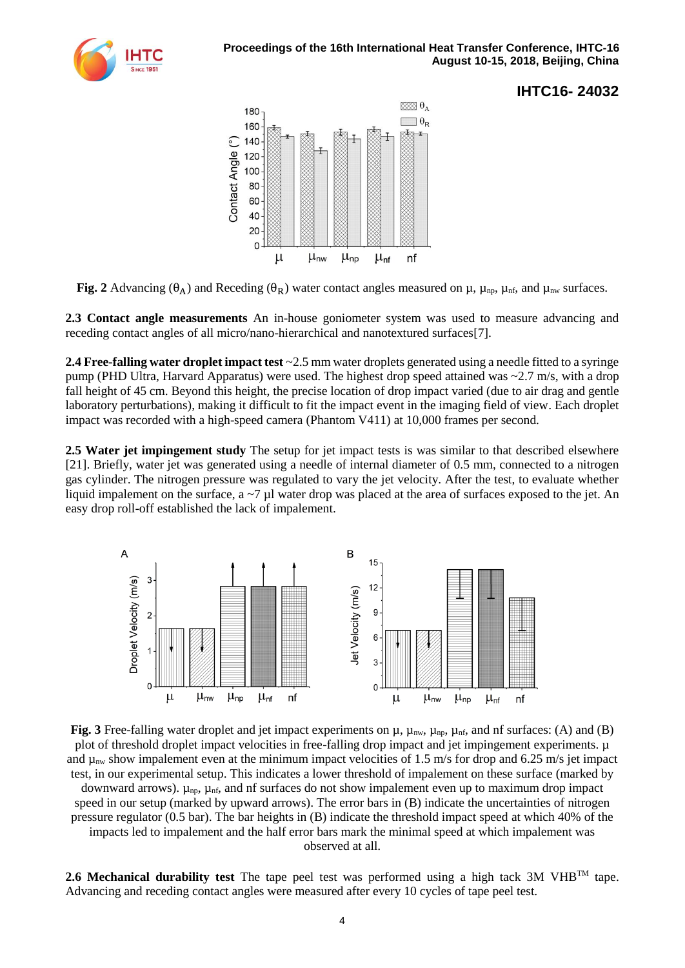



<span id="page-3-0"></span>**Fig.** 2 Advancing ( $\theta_A$ ) and Receding ( $\theta_R$ ) water contact angles measured on  $\mu$ ,  $\mu_{np}$ ,  $\mu_{nf}$ , and  $\mu_{nw}$  surfaces.

**2.3 Contact angle measurements** An in-house goniometer system was used to measure advancing and receding contact angles of all micro/nano-hierarchical and nanotextured surfaces[7].

**2.4 Free-falling water droplet impact test** ~2.5 mm water droplets generated using a needle fitted to a syringe pump (PHD Ultra, Harvard Apparatus) were used. The highest drop speed attained was ~2.7 m/s, with a drop fall height of 45 cm. Beyond this height, the precise location of drop impact varied (due to air drag and gentle laboratory perturbations), making it difficult to fit the impact event in the imaging field of view. Each droplet impact was recorded with a high-speed camera (Phantom V411) at 10,000 frames per second.

**2.5 Water jet impingement study** The setup for jet impact tests is was similar to that described elsewhere [21]. Briefly, water jet was generated using a needle of internal diameter of 0.5 mm, connected to a nitrogen gas cylinder. The nitrogen pressure was regulated to vary the jet velocity. After the test, to evaluate whether liquid impalement on the surface,  $a \sim 7 \mu l$  water drop was placed at the area of surfaces exposed to the jet. An easy drop roll-off established the lack of impalement.



<span id="page-3-1"></span>**Fig. 3** Free-falling water droplet and jet impact experiments on  $\mu$ ,  $\mu_{\text{nw}}$ ,  $\mu_{\text{np}}$ ,  $\mu_{\text{nf}}$ , and of surfaces: (A) and (B) plot of threshold droplet impact velocities in free-falling drop impact and jet impingement experiments.  $\mu$ and  $\mu_{nw}$  show impalement even at the minimum impact velocities of 1.5 m/s for drop and 6.25 m/s jet impact test, in our experimental setup. This indicates a lower threshold of impalement on these surface (marked by downward arrows).  $\mu_{\text{np}}$ ,  $\mu_{\text{nf}}$ , and nf surfaces do not show impalement even up to maximum drop impact speed in our setup (marked by upward arrows). The error bars in (B) indicate the uncertainties of nitrogen pressure regulator (0.5 bar). The bar heights in (B) indicate the threshold impact speed at which 40% of the impacts led to impalement and the half error bars mark the minimal speed at which impalement was observed at all.

**2.6 Mechanical durability test** The tape peel test was performed using a high tack 3M VHBTM tape. Advancing and receding contact angles were measured after every 10 cycles of tape peel test.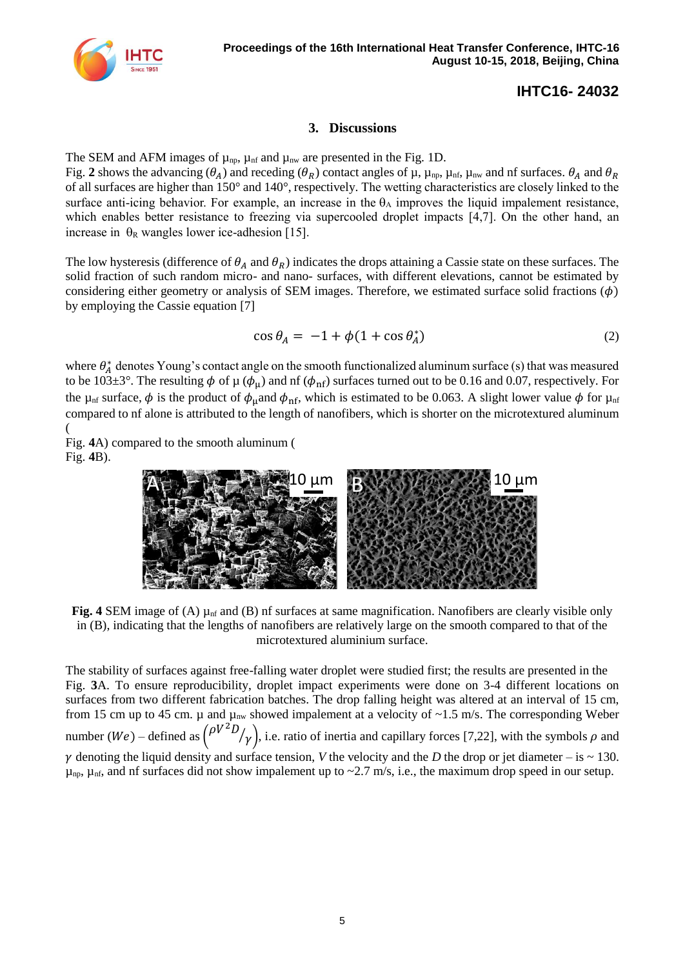

#### **3. Discussions**

TheSEM and AFM images of  $\mu_{np}$ ,  $\mu_{nf}$  and  $\mu_{nw}$  are presented in the [Fig.](#page-2-0) 1D. [Fig.](#page-3-0) 2 shows the advancing  $(\theta_A)$  and receding  $(\theta_R)$  contact angles of  $\mu$ ,  $\mu_{\text{np}}$ ,  $\mu_{\text{nf}}$ ,  $\mu_{\text{nw}}$  and  $\pi$  f surfaces.  $\theta_A$  and  $\theta_R$ of all surfaces are higher than 150° and 140°, respectively. The wetting characteristics are closely linked to the surface anti-icing behavior. For example, an increase in the  $\theta_A$  improves the liquid impalement resistance, which enables better resistance to freezing via supercooled droplet impacts [4,7]. On the other hand, an increase in  $\theta_R$  wangles lower ice-adhesion [15].

The low hysteresis (difference of  $\theta_A$  and  $\theta_R$ ) indicates the drops attaining a Cassie state on these surfaces. The solid fraction of such random micro- and nano- surfaces, with different elevations, cannot be estimated by considering either geometry or analysis of SEM images. Therefore, we estimated surface solid fractions  $(\phi)$ by employing the Cassie equation [7]

$$
\cos \theta_A = -1 + \phi (1 + \cos \theta_A^*) \tag{2}
$$

where  $\theta_A^*$  denotes Young's contact angle on the smooth functionalized aluminum surface (s) that was measured to be 103 $\pm$ 3°. The resulting  $\phi$  of  $\mu$  ( $\phi_{\mu}$ ) and nf ( $\phi_{\text{nf}}$ ) surfaces turned out to be 0.16 and 0.07, respectively. For the  $\mu_{\text{nf}}$  surface,  $\phi$  is the product of  $\phi_{\text{u}}$ and  $\phi_{\text{nf}}$ , which is estimated to be 0.063. A slight lower value  $\phi$  for  $\mu_{\text{nf}}$ compared to nf alone is attributed to the length of nanofibers, which is shorter on the microtextured aluminum [\(](#page-4-0)

[Fig.](#page-4-0) **4**A) compared to the smooth aluminum [\(](#page-4-0) [Fig.](#page-4-0) **4**B).



**Fig. 4** SEM image of (A)  $\mu$ <sub>nf</sub> and (B) nf surfaces at same magnification. Nanofibers are clearly visible only in (B), indicating that the lengths of nanofibers are relatively large on the smooth compared to that of the microtextured aluminium surface.

<span id="page-4-0"></span>The stability of surfaces against free-falling water droplet were studied first; the results are presented in the [Fig.](#page-3-1) **3**A. To ensure reproducibility, droplet impact experiments were done on 3-4 different locations on surfaces from two different fabrication batches. The drop falling height was altered at an interval of 15 cm, from 15 cm up to 45 cm.  $\mu$  and  $\mu_{nw}$  showed impalement at a velocity of ~1.5 m/s. The corresponding Weber number (We) – defined as  $\binom{\rho V^2 D}{r}$  $\gamma$ , i.e. ratio of inertia and capillary forces [7,22], with the symbols  $\rho$  and  $\gamma$  denoting the liquid density and surface tension, *V* the velocity and the *D* the drop or jet diameter – is ~ 130.  $\mu_{\text{np}}$ ,  $\mu_{\text{nf}}$ , and nf surfaces did not show impalement up to ~2.7 m/s, i.e., the maximum drop speed in our setup.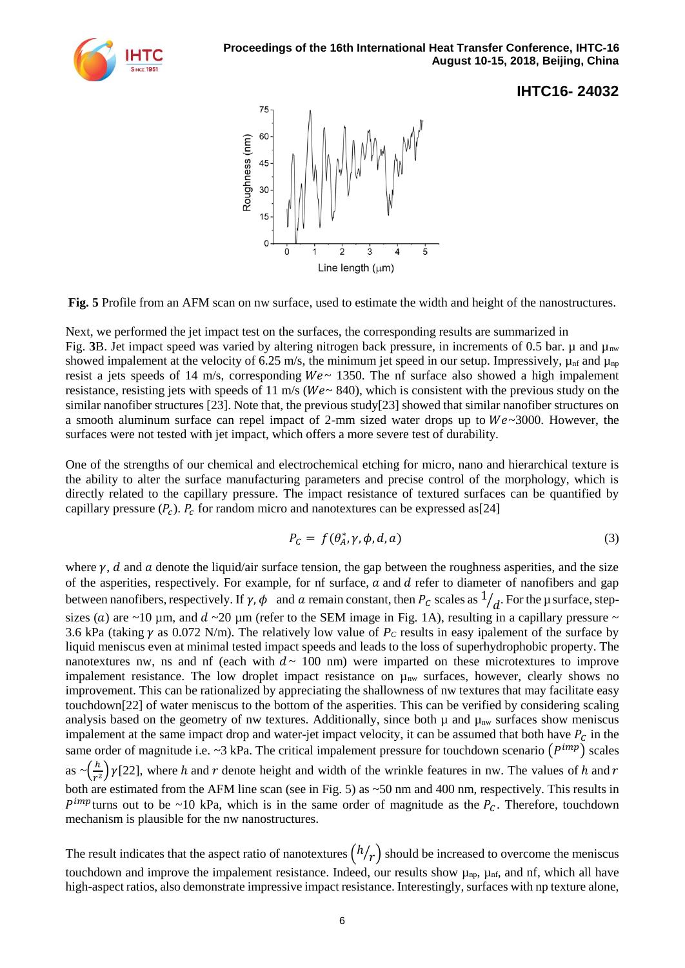



<span id="page-5-0"></span>**Fig. 5** Profile from an AFM scan on nw surface, used to estimate the width and height of the nanostructures.

Next, we performed the jet impact test on the surfaces, the corresponding results are summarized in [Fig.](#page-3-1) 3B. Jet impact speed was varied by altering nitrogen back pressure, in increments of 0.5 bar.  $\mu$  and  $\mu_{nw}$ showed impalement at the velocity of 6.25 m/s, the minimum jet speed in our setup. Impressively,  $\mu_{\text{nf}}$  and  $\mu_{\text{np}}$ resist a jets speeds of 14 m/s, corresponding  $We \sim 1350$ . The nf surface also showed a high impalement resistance, resisting jets with speeds of 11 m/s ( $We \sim 840$ ), which is consistent with the previous study on the similar nanofiber structures [23]. Note that, the previous study[23] showed that similar nanofiber structures on a smooth aluminum surface can repel impact of 2-mm sized water drops up to  $We \sim 3000$ . However, the surfaces were not tested with jet impact, which offers a more severe test of durability.

One of the strengths of our chemical and electrochemical etching for micro, nano and hierarchical texture is the ability to alter the surface manufacturing parameters and precise control of the morphology, which is directly related to the capillary pressure. The impact resistance of textured surfaces can be quantified by capillary pressure  $(P_c)$ .  $P_c$  for random micro and nanotextures can be expressed as [24]

$$
P_C = f(\theta_A^*, \gamma, \phi, d, a) \tag{3}
$$

where  $\gamma$ , d and a denote the liquid/air surface tension, the gap between the roughness asperities, and the size of the asperities, respectively. For example, for nf surface,  $a$  and  $d$  refer to diameter of nanofibers and gap between nanofibers, respectively. If  $\gamma$ ,  $\phi$  and  $a$  remain constant, then  $P_c$  scales as  $1/\frac{d}{d}$ . For the  $\mu$  surface, stepsizes (a) are ~10 µm, and  $d \sim 20$  µm (refer to the SEM image in [Fig.](#page-2-0) 1A), resulting in a capillary pressure ~ 3.6 kPa (taking  $\gamma$  as 0.072 N/m). The relatively low value of  $P_c$  results in easy ipalement of the surface by liquid meniscus even at minimal tested impact speeds and leads to the loss of superhydrophobic property. The nanotextures nw, ns and nf (each with  $d \sim 100$  nm) were imparted on these microtextures to improve impalement resistance. The low droplet impact resistance on  $\mu_{nw}$  surfaces, however, clearly shows no improvement. This can be rationalized by appreciating the shallowness of nw textures that may facilitate easy touchdown[22] of water meniscus to the bottom of the asperities. This can be verified by considering scaling analysis based on the geometry of nw textures. Additionally, since both  $\mu$  and  $\mu_{nw}$  surfaces show meniscus impalement at the same impact drop and water-jet impact velocity, it can be assumed that both have  $P_c$  in the same order of magnitude i.e.  $\sim$ 3 kPa. The critical impalement pressure for touchdown scenario  $(P^{imp})$  scales as  $\sim \left(\frac{h}{m}\right)$  $\frac{n}{r^2}$ )  $\gamma$ [22], where h and r denote height and width of the wrinkle features in nw. The values of h and r both are estimated from the AFM line scan (see in [Fig. 5\)](#page-5-0) as ~50 nm and 400 nm, respectively. This results in  $P^{imp}$  turns out to be ~10 kPa, which is in the same order of magnitude as the  $P_c$ . Therefore, touchdown mechanism is plausible for the nw nanostructures.

The result indicates that the aspect ratio of nanotextures  $(h/r)$  should be increased to overcome the meniscus touchdown and improve the impalement resistance. Indeed, our results show  $\mu_{np}$ ,  $\mu_{nf}$ , and nf, which all have high-aspect ratios, also demonstrate impressive impact resistance. Interestingly, surfaces with np texture alone,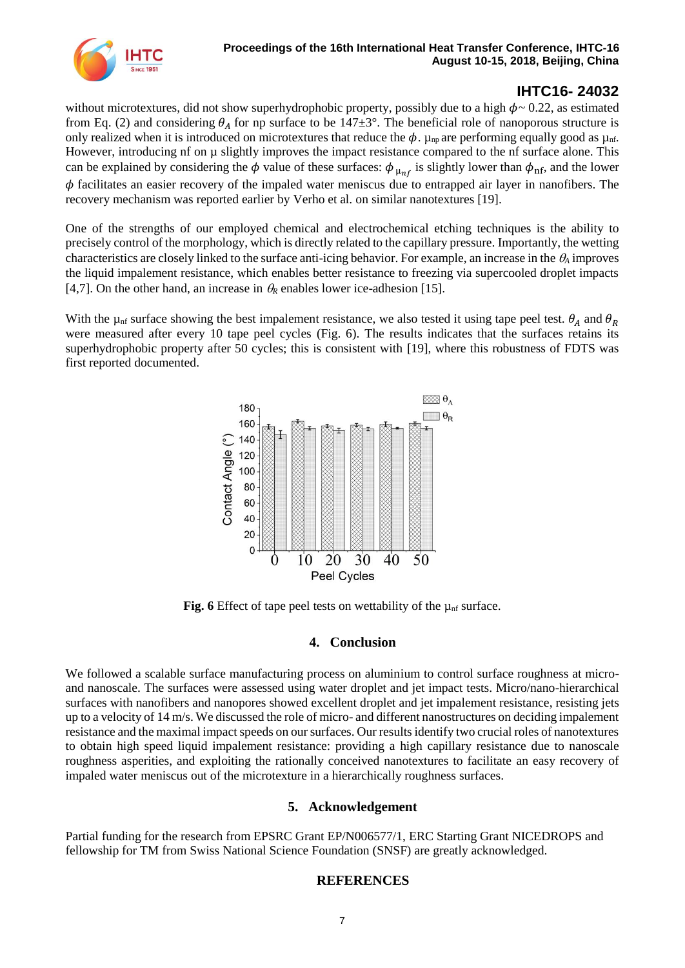

without microtextures, did not show superhydrophobic property, possibly due to a high  $\phi \sim 0.22$ , as estimated from Eq. (2) and considering  $\theta_A$  for np surface to be 147 $\pm 3^{\circ}$ . The beneficial role of nanoporous structure is only realized when it is introduced on microtextures that reduce the  $\phi$ .  $\mu_{np}$  are performing equally good as  $\mu_{nf}$ . However, introducing nf on  $\mu$  slightly improves the impact resistance compared to the nf surface alone. This can be explained by considering the  $\phi$  value of these surfaces:  $\phi_{\mu_{n}f}$  is slightly lower than  $\phi_{n}f$ , and the lower  $\phi$  facilitates an easier recovery of the impaled water meniscus due to entrapped air layer in nanofibers. The recovery mechanism was reported earlier by Verho et al. on similar nanotextures [19].

One of the strengths of our employed chemical and electrochemical etching techniques is the ability to precisely control of the morphology, which is directly related to the capillary pressure. Importantly, the wetting characteristics are closely linked to the surface anti-icing behavior. For example, an increase in the *<sup>A</sup>* improves the liquid impalement resistance, which enables better resistance to freezing via supercooled droplet impacts [4,7]. On the other hand, an increase in  $\theta_R$  enables lower ice-adhesion [15].

With the  $\mu_{\rm nf}$  surface showing the best impalement resistance, we also tested it using tape peel test.  $\theta_A$  and  $\theta_R$ were measured after every 10 tape peel cycles (Fig. 6). The results indicates that the surfaces retains its superhydrophobic property after 50 cycles; this is consistent with [19], where this robustness of FDTS was first reported documented.



**Fig. 6** Effect of tape peel tests on wettability of the  $\mu$ <sub>nf</sub> surface.

#### **4. Conclusion**

We followed a scalable surface manufacturing process on aluminium to control surface roughness at microand nanoscale. The surfaces were assessed using water droplet and jet impact tests. Micro/nano-hierarchical surfaces with nanofibers and nanopores showed excellent droplet and jet impalement resistance, resisting jets up to a velocity of 14 m/s. We discussed the role of micro- and different nanostructures on deciding impalement resistance and the maximal impact speeds on our surfaces. Our results identify two crucial roles of nanotextures to obtain high speed liquid impalement resistance: providing a high capillary resistance due to nanoscale roughness asperities, and exploiting the rationally conceived nanotextures to facilitate an easy recovery of impaled water meniscus out of the microtexture in a hierarchically roughness surfaces.

#### **5. Acknowledgement**

Partial funding for the research from EPSRC Grant EP/N006577/1, ERC Starting Grant NICEDROPS and fellowship for TM from Swiss National Science Foundation (SNSF) are greatly acknowledged.

#### **REFERENCES**